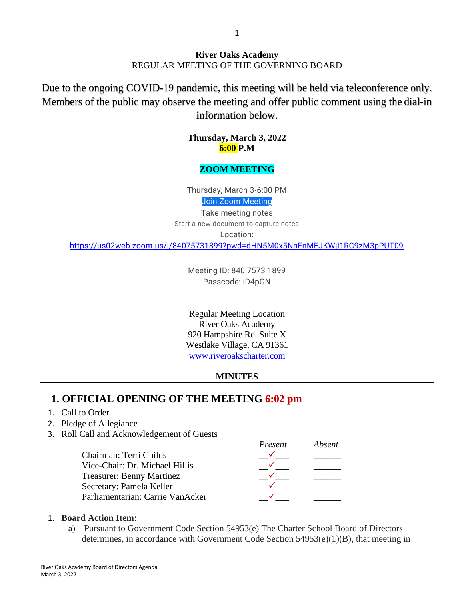#### **River Oaks Academy** REGULAR MEETING OF THE GOVERNING BOARD

Due to the ongoing COVID-19 pandemic, this meeting will be held via teleconference only. Members of the public may observe the meeting and offer public comment using the dial-in information below.

> **Thursday, March 3, 2022 6:00 P.M**

### **ZOOM MEETING**

Thursday, March 3⋅6:00 PM Join Zoom [Meeting](https://us02web.zoom.us/j/84075731899?pwd=dHN5M0x5NnFnMEJKWjI1RC9zM3pPUT09)

Take meeting notes Start a new document to capture notes

Location:

<https://us02web.zoom.us/j/84075731899?pwd=dHN5M0x5NnFnMEJKWjI1RC9zM3pPUT09>

Meeting ID: 840 7573 1899 Passcode: iD4pGN

Regular Meeting Location River Oaks Academy 920 Hampshire Rd. Suite X Westlake Village, CA 91361 [www.riveroakscharter.com](http://www.riveroakscharter.com/)

#### **MINUTES**

# **1. OFFICIAL OPENING OF THE MEETING 6:02 pm**

- 1. Call to Order
- 2. Pledge of Allegiance
- 3. Roll Call and Acknowledgement of Guests

|                                  | Present | Absent |
|----------------------------------|---------|--------|
| Chairman: Terri Childs           |         |        |
| Vice-Chair: Dr. Michael Hillis   |         |        |
| <b>Treasurer: Benny Martinez</b> |         |        |
| Secretary: Pamela Keller         |         |        |
| Parliamentarian: Carrie VanAcker |         |        |

#### 1. **Board Action Item**:

a) Pursuant to Government Code Section 54953(e) The Charter School Board of Directors determines, in accordance with Government Code Section  $54953(e)(1)(B)$ , that meeting in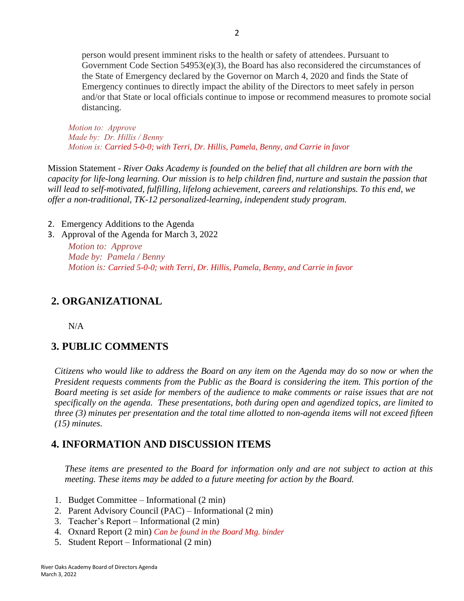person would present imminent risks to the health or safety of attendees. Pursuant to Government Code Section 54953(e)(3), the Board has also reconsidered the circumstances of the State of Emergency declared by the Governor on March 4, 2020 and finds the State of Emergency continues to directly impact the ability of the Directors to meet safely in person and/or that State or local officials continue to impose or recommend measures to promote social distancing.

*Motion to: Approve Made by: Dr. Hillis / Benny Motion is: Carried 5-0-0; with Terri, Dr. Hillis, Pamela, Benny, and Carrie in favor* 

Mission Statement - *River Oaks Academy is founded on the belief that all children are born with the capacity for life-long learning. Our mission is to help children find, nurture and sustain the passion that will lead to self-motivated, fulfilling, lifelong achievement, careers and relationships. To this end, we offer a non-traditional, TK-12 personalized-learning, independent study program.*

2. Emergency Additions to the Agenda

3. Approval of the Agenda for March 3, 2022

*Motion to: Approve Made by: Pamela / Benny Motion is: Carried 5-0-0; with Terri, Dr. Hillis, Pamela, Benny, and Carrie in favor* 

# **2. ORGANIZATIONAL**

N/A

# **3. PUBLIC COMMENTS**

*Citizens who would like to address the Board on any item on the Agenda may do so now or when the President requests comments from the Public as the Board is considering the item. This portion of the Board meeting is set aside for members of the audience to make comments or raise issues that are not specifically on the agenda. These presentations, both during open and agendized topics, are limited to three (3) minutes per presentation and the total time allotted to non-agenda items will not exceed fifteen (15) minutes.*

# **4. INFORMATION AND DISCUSSION ITEMS**

*These items are presented to the Board for information only and are not subject to action at this meeting. These items may be added to a future meeting for action by the Board.*

- 1. Budget Committee Informational (2 min)
- 2. Parent Advisory Council (PAC) Informational (2 min)
- 3. Teacher's Report Informational (2 min)
- 4. Oxnard Report (2 min) *Can be found in the Board Mtg. binder*
- 5. Student Report Informational (2 min)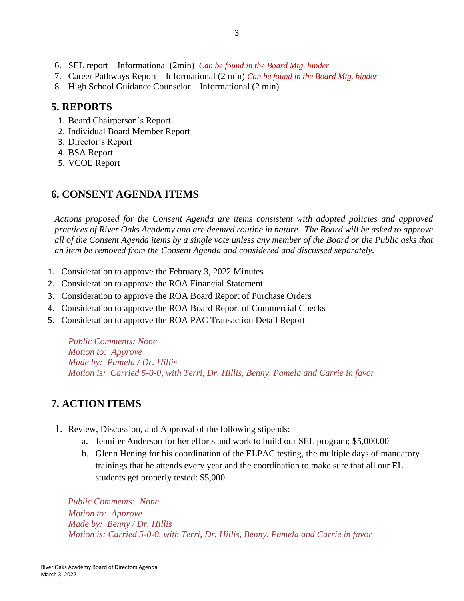- 6. SEL report—Informational (2min) *Can be found in the Board Mtg. binder*
- 7. Career Pathways Report Informational (2 min) *Can be found in the Board Mtg. binder*
- 8. High School Guidance Counselor—Informational (2 min)

### **5. REPORTS**

- 1. Board Chairperson's Report
- 2. Individual Board Member Report
- 3. Director's Report
- 4. BSA Report
- 5. VCOE Report

### **6. CONSENT AGENDA ITEMS**

*Actions proposed for the Consent Agenda are items consistent with adopted policies and approved practices of River Oaks Academy and are deemed routine in nature. The Board will be asked to approve all of the Consent Agenda items by a single vote unless any member of the Board or the Public asks that an item be removed from the Consent Agenda and considered and discussed separately.*

- 1. Consideration to approve the February 3, 2022 Minutes
- 2. Consideration to approve the ROA Financial Statement
- 3. Consideration to approve the ROA Board Report of Purchase Orders
- 4. Consideration to approve the ROA Board Report of Commercial Checks
- 5. Consideration to approve the ROA PAC Transaction Detail Report

*Public Comments: None Motion to: Approve Made by: Pamela / Dr. Hillis Motion is: Carried 5-0-0, with Terri, Dr. Hillis, Benny, Pamela and Carrie in favor*

### **7. ACTION ITEMS**

- 1. Review, Discussion, and Approval of the following stipends:
	- a. Jennifer Anderson for her efforts and work to build our SEL program; \$5,000.00
	- b. Glenn Hening for his coordination of the ELPAC testing, the multiple days of mandatory trainings that he attends every year and the coordination to make sure that all our EL students get properly tested: \$5,000.

*Public Comments: None Motion to: Approve Made by: Benny / Dr. Hillis Motion is: Carried 5-0-0, with Terri, Dr. Hillis, Benny, Pamela and Carrie in favor*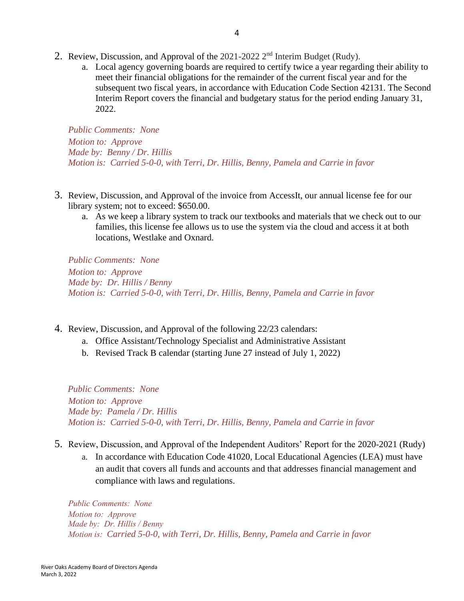- 2. Review, Discussion, and Approval of the 2021-2022 2<sup>nd</sup> Interim Budget (Rudy).
	- a. Local agency governing boards are required to certify twice a year regarding their ability to meet their financial obligations for the remainder of the current fiscal year and for the subsequent two fiscal years, in accordance with Education Code Section 42131. The Second Interim Report covers the financial and budgetary status for the period ending January 31, 2022.

*Public Comments: None Motion to: Approve Made by: Benny / Dr. Hillis Motion is: Carried 5-0-0, with Terri, Dr. Hillis, Benny, Pamela and Carrie in favor*

- 3. Review, Discussion, and Approval of the invoice from AccessIt, our annual license fee for our library system; not to exceed: \$650.00.
	- a. As we keep a library system to track our textbooks and materials that we check out to our families, this license fee allows us to use the system via the cloud and access it at both locations, Westlake and Oxnard.

*Public Comments: None Motion to: Approve Made by: Dr. Hillis / Benny Motion is: Carried 5-0-0, with Terri, Dr. Hillis, Benny, Pamela and Carrie in favor*

- 4. Review, Discussion, and Approval of the following 22/23 calendars:
	- a. Office Assistant/Technology Specialist and Administrative Assistant
	- b. Revised Track B calendar (starting June 27 instead of July 1, 2022)

*Public Comments: None Motion to: Approve Made by: Pamela / Dr. Hillis Motion is: Carried 5-0-0, with Terri, Dr. Hillis, Benny, Pamela and Carrie in favor*

- 5. Review, Discussion, and Approval of the Independent Auditors' Report for the 2020-2021 (Rudy)
	- a. In accordance with Education Code 41020, Local Educational Agencies (LEA) must have an audit that covers all funds and accounts and that addresses financial management and compliance with laws and regulations.

*Public Comments: None Motion to: Approve Made by: Dr. Hillis / Benny Motion is: Carried 5-0-0, with Terri, Dr. Hillis, Benny, Pamela and Carrie in favor*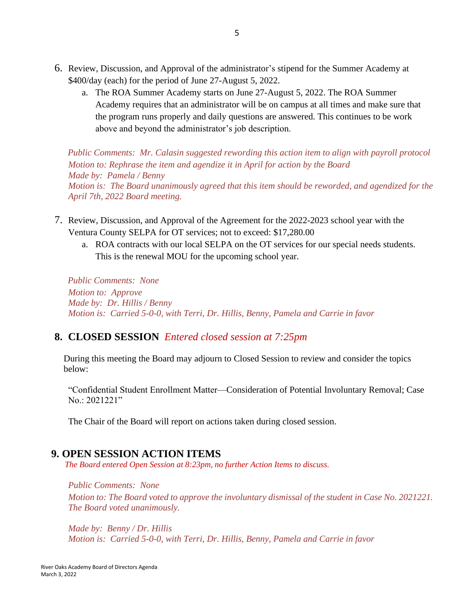- 6. Review, Discussion, and Approval of the administrator's stipend for the Summer Academy at \$400/day (each) for the period of June 27-August 5, 2022.
	- a. The ROA Summer Academy starts on June 27-August 5, 2022. The ROA Summer Academy requires that an administrator will be on campus at all times and make sure that the program runs properly and daily questions are answered. This continues to be work above and beyond the administrator's job description.

*Public Comments: Mr. Calasin suggested rewording this action item to align with payroll protocol Motion to: Rephrase the item and agendize it in April for action by the Board Made by: Pamela / Benny Motion is: The Board unanimously agreed that this item should be reworded, and agendized for the April 7th, 2022 Board meeting.*

- 7. Review, Discussion, and Approval of the Agreement for the 2022-2023 school year with the Ventura County SELPA for OT services; not to exceed: \$17,280.00
	- a. ROA contracts with our local SELPA on the OT services for our special needs students. This is the renewal MOU for the upcoming school year.

*Public Comments: None Motion to: Approve Made by: Dr. Hillis / Benny Motion is: Carried 5-0-0, with Terri, Dr. Hillis, Benny, Pamela and Carrie in favor*

# **8. CLOSED SESSION** *Entered closed session at 7:25pm*

 During this meeting the Board may adjourn to Closed Session to review and consider the topics below:

"Confidential Student Enrollment Matter—Consideration of Potential Involuntary Removal; Case No.: 2021221"

The Chair of the Board will report on actions taken during closed session.

### **9. OPEN SESSION ACTION ITEMS**

*The Board entered Open Session at 8:23pm, no further Action Items to discuss.*

*Public Comments: None*

*Motion to: The Board voted to approve the involuntary dismissal of the student in Case No. 2021221. The Board voted unanimously.*

*Made by: Benny / Dr. Hillis Motion is: Carried 5-0-0, with Terri, Dr. Hillis, Benny, Pamela and Carrie in favor*